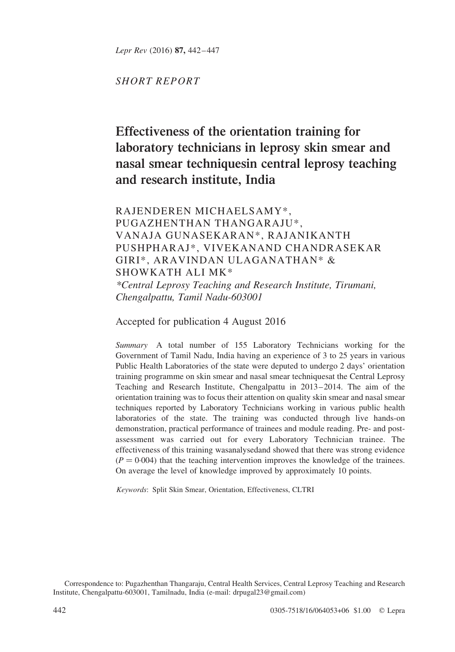Lepr Rev (2016) 87, 442–447

SHORT REPORT

# Effectiveness of the orientation training for laboratory technicians in leprosy skin smear and nasal smear techniquesin central leprosy teaching and research institute, India

RAJENDEREN MICHAELSAMY\*, PUGAZHENTHAN THANGARAJU\*, VANAJA GUNASEKARAN\*, RAJANIKANTH PUSHPHARAJ\*, VIVEKANAND CHANDRASEKAR GIRI\*, ARAVINDAN ULAGANATHAN\* & SHOWKATH ALI MK\* \*Central Leprosy Teaching and Research Institute, Tirumani, Chengalpattu, Tamil Nadu-603001

Accepted for publication 4 August 2016

Summary A total number of 155 Laboratory Technicians working for the Government of Tamil Nadu, India having an experience of 3 to 25 years in various Public Health Laboratories of the state were deputed to undergo 2 days' orientation training programme on skin smear and nasal smear techniquesat the Central Leprosy Teaching and Research Institute, Chengalpattu in 2013–2014. The aim of the orientation training was to focus their attention on quality skin smear and nasal smear techniques reported by Laboratory Technicians working in various public health laboratories of the state. The training was conducted through live hands-on demonstration, practical performance of trainees and module reading. Pre- and postassessment was carried out for every Laboratory Technician trainee. The effectiveness of this training wasanalysedand showed that there was strong evidence  $(P = 0.004)$  that the teaching intervention improves the knowledge of the trainees. On average the level of knowledge improved by approximately 10 points.

Keywords: Split Skin Smear, Orientation, Effectiveness, CLTRI

Correspondence to: Pugazhenthan Thangaraju, Central Health Services, Central Leprosy Teaching and Research Institute, Chengalpattu-603001, Tamilnadu, India (e-mail: drpugal23@gmail.com)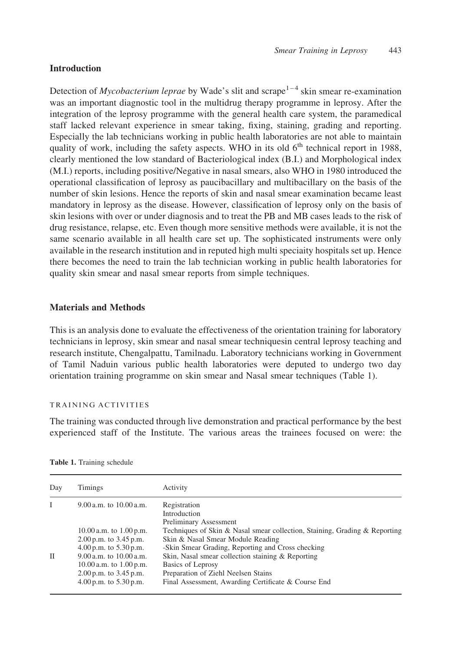## Introduction

Detection of *Mycobacterium leprae* by Wade's slit and scrape<sup>1-4</sup> skin smear re-examination was an important diagnostic tool in the multidrug therapy programme in leprosy. After the integration of the leprosy programme with the general health care system, the paramedical staff lacked relevant experience in smear taking, fixing, staining, grading and reporting. Especially the lab technicians working in public health laboratories are not able to maintain quality of work, including the safety aspects. WHO in its old  $6<sup>th</sup>$  technical report in 1988. clearly mentioned the low standard of Bacteriological index (B.I.) and Morphological index (M.I.) reports, including positive/Negative in nasal smears, also WHO in 1980 introduced the operational classification of leprosy as paucibacillary and multibacillary on the basis of the number of skin lesions. Hence the reports of skin and nasal smear examination became least mandatory in leprosy as the disease. However, classification of leprosy only on the basis of skin lesions with over or under diagnosis and to treat the PB and MB cases leads to the risk of drug resistance, relapse, etc. Even though more sensitive methods were available, it is not the same scenario available in all health care set up. The sophisticated instruments were only available in the research institution and in reputed high multi speciaity hospitals set up. Hence there becomes the need to train the lab technician working in public health laboratories for quality skin smear and nasal smear reports from simple techniques.

### Materials and Methods

This is an analysis done to evaluate the effectiveness of the orientation training for laboratory technicians in leprosy, skin smear and nasal smear techniquesin central leprosy teaching and research institute, Chengalpattu, Tamilnadu. Laboratory technicians working in Government of Tamil Naduin various public health laboratories were deputed to undergo two day orientation training programme on skin smear and Nasal smear techniques (Table 1).

#### TRAINING ACTIVITIES

The training was conducted through live demonstration and practical performance by the best experienced staff of the Institute. The various areas the trainees focused on were: the

| Day          | Timings                                                                                                                                                                                                         | Activity                                                                                                                                                                                                                                                                                                                                                               |  |
|--------------|-----------------------------------------------------------------------------------------------------------------------------------------------------------------------------------------------------------------|------------------------------------------------------------------------------------------------------------------------------------------------------------------------------------------------------------------------------------------------------------------------------------------------------------------------------------------------------------------------|--|
|              | $9.00$ a.m. to $10.00$ a.m.                                                                                                                                                                                     | Registration<br>Introduction                                                                                                                                                                                                                                                                                                                                           |  |
| $\mathbf{I}$ | 10.00 a.m. to $1.00$ p.m.<br>$2.00$ p.m. to $3.45$ p.m.<br>$4.00$ p.m. to $5.30$ p.m.<br>$9.00$ a.m. to $10.00$ a.m.<br>$10.00$ a.m. to $1.00$ p.m.<br>$2.00$ p.m. to $3.45$ p.m.<br>$4.00$ p.m. to $5.30$ p.m. | Preliminary Assessment<br>Techniques of Skin & Nasal smear collection, Staining, Grading & Reporting<br>Skin & Nasal Smear Module Reading<br>-Skin Smear Grading, Reporting and Cross checking<br>Skin, Nasal smear collection staining & Reporting<br>Basics of Leprosy<br>Preparation of Ziehl Neelsen Stains<br>Final Assessment, Awarding Certificate & Course End |  |

Table 1. Training schedule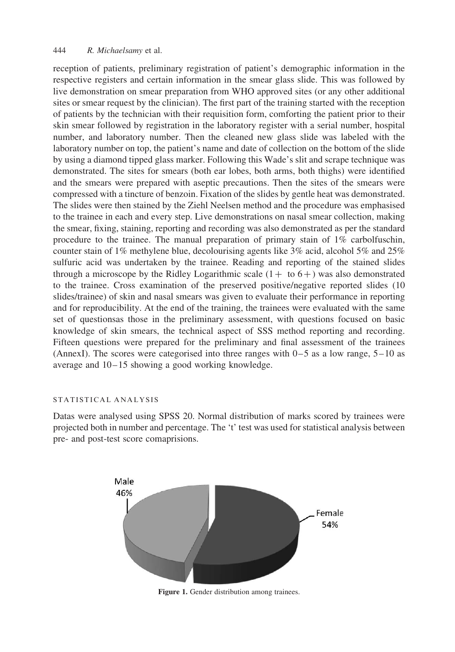#### <span id="page-2-0"></span>444 R. Michaelsamy et al.

reception of patients, preliminary registration of patient's demographic information in the respective registers and certain information in the smear glass slide. This was followed by live demonstration on smear preparation from WHO approved sites (or any other additional sites or smear request by the clinician). The first part of the training started with the reception of patients by the technician with their requisition form, comforting the patient prior to their skin smear followed by registration in the laboratory register with a serial number, hospital number, and laboratory number. Then the cleaned new glass slide was labeled with the laboratory number on top, the patient's name and date of collection on the bottom of the slide by using a diamond tipped glass marker. Following this Wade's slit and scrape technique was demonstrated. The sites for smears (both ear lobes, both arms, both thighs) were identified and the smears were prepared with aseptic precautions. Then the sites of the smears were compressed with a tincture of benzoin. Fixation of the slides by gentle heat was demonstrated. The slides were then stained by the Ziehl Neelsen method and the procedure was emphasised to the trainee in each and every step. Live demonstrations on nasal smear collection, making the smear, fixing, staining, reporting and recording was also demonstrated as per the standard procedure to the trainee. The manual preparation of primary stain of 1% carbolfuschin, counter stain of 1% methylene blue, decolourising agents like 3% acid, alcohol 5% and 25% sulfuric acid was undertaken by the trainee. Reading and reporting of the stained slides through a microscope by the Ridley Logarithmic scale  $(1 + to 6+)$  was also demonstrated to the trainee. Cross examination of the preserved positive/negative reported slides (10 slides/trainee) of skin and nasal smears was given to evaluate their performance in reporting and for reproducibility. At the end of the training, the trainees were evaluated with the same set of questionsas those in the preliminary assessment, with questions focused on basic knowledge of skin smears, the technical aspect of SSS method reporting and recording. Fifteen questions were prepared for the preliminary and final assessment of the trainees (AnnexI). The scores were categorised into three ranges with  $0-5$  as a low range,  $5-10$  as average and 10–15 showing a good working knowledge.

#### STATISTICAL ANALYSIS

Datas were analysed using SPSS 20. Normal distribution of marks scored by trainees were projected both in number and percentage. The 't' test was used for statistical analysis between pre- and post-test score comaprisions.



Figure 1. Gender distribution among trainees.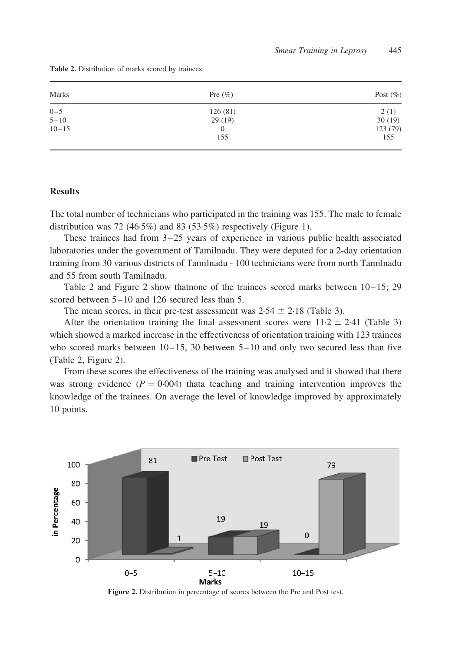| Marks     | Pre $(\% )$ | Post $(\% )$ |
|-----------|-------------|--------------|
| $0 - 5$   | 126(81)     | 2(1)         |
| $5 - 10$  | 29(19)      | 30(19)       |
| $10 - 15$ | 0           | 123 (79)     |
|           | 155         | 155          |

Table 2. Distribution of marks scored by trainees

#### **Results**

The total number of technicians who participated in the training was 155. The male to female distribution was 72 (46·5%) and 83 (53·5%) respectively ([Figure 1\)](#page-2-0).

These trainees had from 3–25 years of experience in various public health associated laboratories under the government of Tamilnadu. They were deputed for a 2-day orientation training from 30 various districts of Tamilnadu - 100 technicians were from north Tamilnadu and 55 from south Tamilnadu.

Table 2 and Figure 2 show thatnone of the trainees scored marks between 10–15; 29 scored between 5–10 and 126 secured less than 5.

The mean scores, in their pre-test assessment was  $2.54 \pm 2.18$  ([Table 3\)](#page-4-0).

After the orientation training the final assessment scores were  $11.2 \pm 2.41$  ([Table 3\)](#page-4-0) which showed a marked increase in the effectiveness of orientation training with 123 trainees who scored marks between  $10-15$ , 30 between  $5-10$  and only two secured less than five (Table 2, Figure 2).

From these scores the effectiveness of the training was analysed and it showed that there was strong evidence  $(P = 0.004)$  thata teaching and training intervention improves the knowledge of the trainees. On average the level of knowledge improved by approximately 10 points.



Figure 2. Distribution in percentage of scores between the Pre and Post test.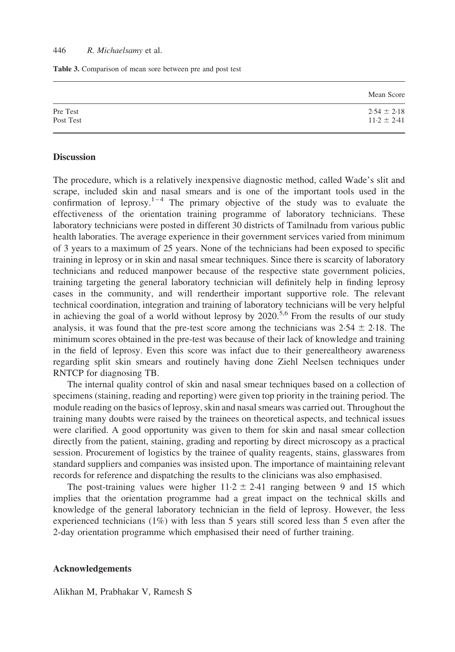<span id="page-4-0"></span>Table 3. Comparison of mean sore between pre and post test

|           | Mean Score      |
|-----------|-----------------|
| Pre Test  | $2.54 \pm 2.18$ |
| Post Test | $11.2 \pm 2.41$ |
|           |                 |

#### **Discussion**

The procedure, which is a relatively inexpensive diagnostic method, called Wade's slit and scrape, included skin and nasal smears and is one of the important tools used in the confirmation of leprosy.<sup>[1–4](#page-5-0)</sup> The primary objective of the study was to evaluate the effectiveness of the orientation training programme of laboratory technicians. These laboratory technicians were posted in different 30 districts of Tamilnadu from various public health laboraties. The average experience in their government services varied from minimum of 3 years to a maximum of 25 years. None of the technicians had been exposed to specific training in leprosy or in skin and nasal smear techniques. Since there is scarcity of laboratory technicians and reduced manpower because of the respective state government policies, training targeting the general laboratory technician will definitely help in finding leprosy cases in the community, and will rendertheir important supportive role. The relevant technical coordination, integration and training of laboratory technicians will be very helpful in achieving the goal of a world without leprosy by 2020.<sup>[5,6](#page-5-0)</sup> From the results of our study analysis, it was found that the pre-test score among the technicians was  $2.54 \pm 2.18$ . The minimum scores obtained in the pre-test was because of their lack of knowledge and training in the field of leprosy. Even this score was infact due to their generealtheory awareness regarding split skin smears and routinely having done Ziehl Neelsen techniques under RNTCP for diagnosing TB.

The internal quality control of skin and nasal smear techniques based on a collection of specimens (staining, reading and reporting) were given top priority in the training period. The module reading on the basics of leprosy, skin and nasal smears was carried out. Throughout the training many doubts were raised by the trainees on theoretical aspects, and technical issues were clarified. A good opportunity was given to them for skin and nasal smear collection directly from the patient, staining, grading and reporting by direct microscopy as a practical session. Procurement of logistics by the trainee of quality reagents, stains, glasswares from standard suppliers and companies was insisted upon. The importance of maintaining relevant records for reference and dispatching the results to the clinicians was also emphasised.

The post-training values were higher  $11.2 \pm 2.41$  ranging between 9 and 15 which implies that the orientation programme had a great impact on the technical skills and knowledge of the general laboratory technician in the field of leprosy. However, the less experienced technicians (1%) with less than 5 years still scored less than 5 even after the 2-day orientation programme which emphasised their need of further training.

#### Acknowledgements

Alikhan M, Prabhakar V, Ramesh S